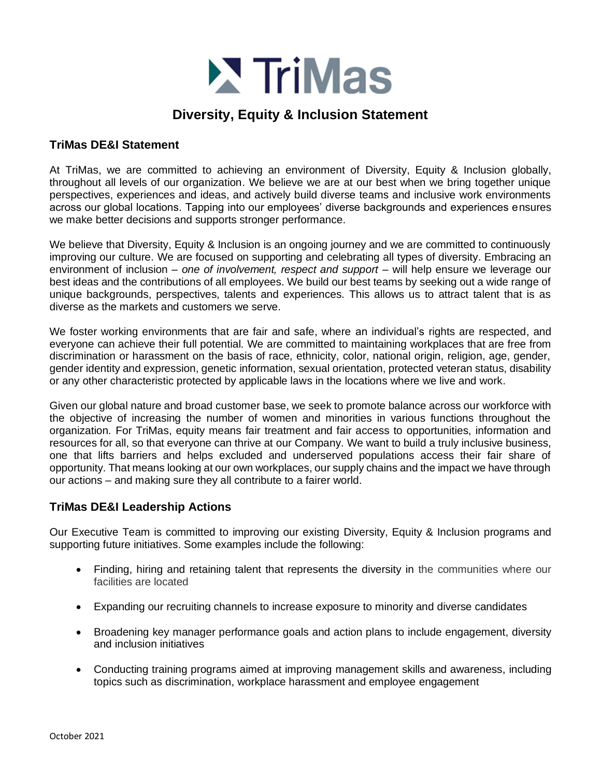

## **Diversity, Equity & Inclusion Statement**

## **TriMas DE&I Statement**

At TriMas, we are committed to achieving an environment of Diversity, Equity & Inclusion globally, throughout all levels of our organization. We believe we are at our best when we bring together unique perspectives, experiences and ideas, and actively build diverse teams and inclusive work environments across our global locations. Tapping into our employees' diverse backgrounds and experiences ensures we make better decisions and supports stronger performance.

We believe that Diversity, Equity & Inclusion is an ongoing journey and we are committed to continuously improving our culture. We are focused on supporting and celebrating all types of diversity. Embracing an environment of inclusion – *one of involvement, respect and support* – will help ensure we leverage our best ideas and the contributions of all employees. We build our best teams by seeking out a wide range of unique backgrounds, perspectives, talents and experiences. This allows us to attract talent that is as diverse as the markets and customers we serve.

We foster working environments that are fair and safe, where an individual's rights are respected, and everyone can achieve their full potential. We are committed to maintaining workplaces that are free from discrimination or harassment on the basis of race, ethnicity, color, national origin, religion, age, gender, gender identity and expression, genetic information, sexual orientation, protected veteran status, disability or any other characteristic protected by applicable laws in the locations where we live and work.

Given our global nature and broad customer base, we seek to promote balance across our workforce with the objective of increasing the number of women and minorities in various functions throughout the organization. For TriMas, equity means fair treatment and fair access to opportunities, information and resources for all, so that everyone can thrive at our Company. We want to build a truly inclusive business, one that lifts barriers and helps excluded and underserved populations access their fair share of opportunity. That means looking at our own workplaces, our supply chains and the impact we have through our actions – and making sure they all contribute to a fairer world.

## **TriMas DE&I Leadership Actions**

Our Executive Team is committed to improving our existing Diversity, Equity & Inclusion programs and supporting future initiatives. Some examples include the following:

- Finding, hiring and retaining talent that represents the diversity in the communities where our facilities are located
- Expanding our recruiting channels to increase exposure to minority and diverse candidates
- Broadening key manager performance goals and action plans to include engagement, diversity and inclusion initiatives
- Conducting training programs aimed at improving management skills and awareness, including topics such as discrimination, workplace harassment and employee engagement